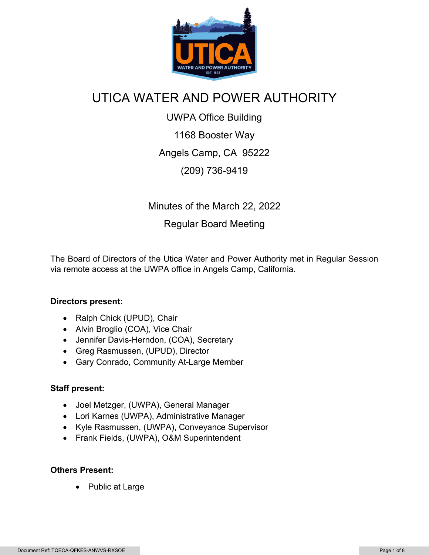

## UTICA WATER AND POWER AUTHORITY

UWPA Office Building 1168 Booster Way Angels Camp, CA 95222 (209) 736-9419

Minutes of the March 22, 2022

## Regular Board Meeting

The Board of Directors of the Utica Water and Power Authority met in Regular Session via remote access at the UWPA office in Angels Camp, California.

#### **Directors present:**

- Ralph Chick (UPUD), Chair
- Alvin Broglio (COA), Vice Chair
- Jennifer Davis-Herndon, (COA), Secretary
- Greg Rasmussen, (UPUD), Director
- Gary Conrado, Community At-Large Member

#### **Staff present:**

- Joel Metzger, (UWPA), General Manager
- Lori Karnes (UWPA), Administrative Manager
- Kyle Rasmussen, (UWPA), Conveyance Supervisor
- Frank Fields, (UWPA), O&M Superintendent

#### **Others Present:**

• Public at Large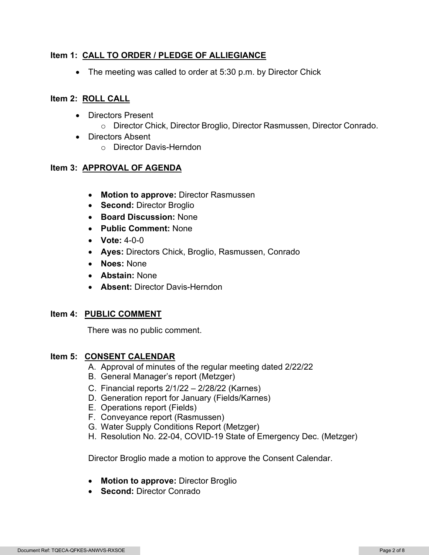#### **Item 1: CALL TO ORDER / PLEDGE OF ALLIEGIANCE**

• The meeting was called to order at 5:30 p.m. by Director Chick

#### **Item 2: ROLL CALL**

- Directors Present o Director Chick, Director Broglio, Director Rasmussen, Director Conrado.
- Directors Absent o Director Davis-Herndon

#### **Item 3: APPROVAL OF AGENDA**

- **Motion to approve:** Director Rasmussen
- **Second:** Director Broglio
- **Board Discussion:** None
- **Public Comment:** None
- **Vote:** 4-0-0
- **Ayes:** Directors Chick, Broglio, Rasmussen, Conrado
- **Noes:** None
- **Abstain:** None
- **Absent:** Director Davis-Herndon

#### **Item 4: PUBLIC COMMENT**

There was no public comment.

#### **Item 5: CONSENT CALENDAR**

- A. Approval of minutes of the regular meeting dated 2/22/22
- B. General Manager's report (Metzger)
- C. Financial reports 2/1/22 2/28/22 (Karnes)
- D. Generation report for January (Fields/Karnes)
- E. Operations report (Fields)
- F. Conveyance report (Rasmussen)
- G. Water Supply Conditions Report (Metzger)
- H. Resolution No. 22-04, COVID-19 State of Emergency Dec. (Metzger)

Director Broglio made a motion to approve the Consent Calendar.

- **Motion to approve:** Director Broglio
- **Second:** Director Conrado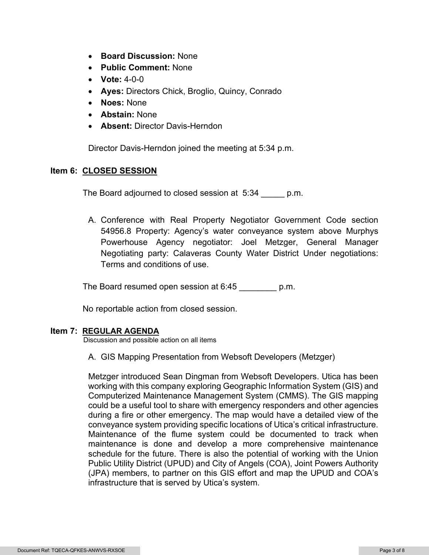- **Board Discussion:** None
- **Public Comment:** None
- **Vote:** 4-0-0
- **Ayes:** Directors Chick, Broglio, Quincy, Conrado
- **Noes:** None
- **Abstain:** None
- **Absent:** Director Davis-Herndon

Director Davis-Herndon joined the meeting at 5:34 p.m.

#### **Item 6: CLOSED SESSION**

The Board adjourned to closed session at 5:34 \_\_\_\_\_ p.m.

A. Conference with Real Property Negotiator Government Code section 54956.8 Property: Agency's water conveyance system above Murphys Powerhouse Agency negotiator: Joel Metzger, General Manager Negotiating party: Calaveras County Water District Under negotiations: Terms and conditions of use.

The Board resumed open session at 6:45 \_\_\_\_\_\_\_\_ p.m.

No reportable action from closed session.

#### **Item 7: REGULAR AGENDA**

Discussion and possible action on all items

A. GIS Mapping Presentation from Websoft Developers (Metzger)

Metzger introduced Sean Dingman from Websoft Developers. Utica has been working with this company exploring Geographic Information System (GIS) and Computerized Maintenance Management System (CMMS). The GIS mapping could be a useful tool to share with emergency responders and other agencies during a fire or other emergency. The map would have a detailed view of the conveyance system providing specific locations of Utica's critical infrastructure. Maintenance of the flume system could be documented to track when maintenance is done and develop a more comprehensive maintenance schedule for the future. There is also the potential of working with the Union Public Utility District (UPUD) and City of Angels (COA), Joint Powers Authority (JPA) members, to partner on this GIS effort and map the UPUD and COA's infrastructure that is served by Utica's system.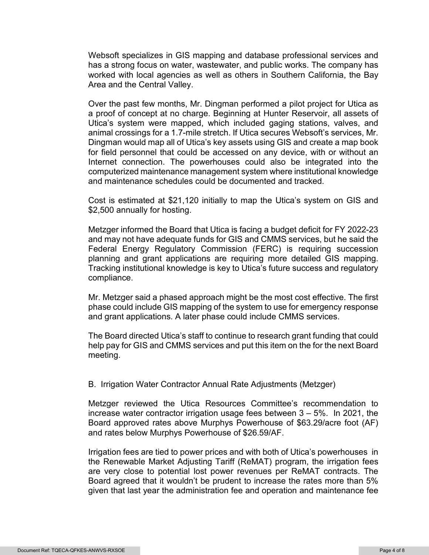Websoft specializes in GIS mapping and database professional services and has a strong focus on water, wastewater, and public works. The company has worked with local agencies as well as others in Southern California, the Bay Area and the Central Valley.

Over the past few months, Mr. Dingman performed a pilot project for Utica as a proof of concept at no charge. Beginning at Hunter Reservoir, all assets of Utica's system were mapped, which included gaging stations, valves, and animal crossings for a 1.7-mile stretch. If Utica secures Websoft's services, Mr. Dingman would map all of Utica's key assets using GIS and create a map book for field personnel that could be accessed on any device, with or without an Internet connection. The powerhouses could also be integrated into the computerized maintenance management system where institutional knowledge and maintenance schedules could be documented and tracked.

Cost is estimated at \$21,120 initially to map the Utica's system on GIS and \$2,500 annually for hosting.

Metzger informed the Board that Utica is facing a budget deficit for FY 2022-23 and may not have adequate funds for GIS and CMMS services, but he said the Federal Energy Regulatory Commission (FERC) is requiring succession planning and grant applications are requiring more detailed GIS mapping. Tracking institutional knowledge is key to Utica's future success and regulatory compliance.

Mr. Metzger said a phased approach might be the most cost effective. The first phase could include GIS mapping of the system to use for emergency response and grant applications. A later phase could include CMMS services.

The Board directed Utica's staff to continue to research grant funding that could help pay for GIS and CMMS services and put this item on the for the next Board meeting.

#### B. Irrigation Water Contractor Annual Rate Adjustments (Metzger)

Metzger reviewed the Utica Resources Committee's recommendation to increase water contractor irrigation usage fees between 3 – 5%. In 2021, the Board approved rates above Murphys Powerhouse of \$63.29/acre foot (AF) and rates below Murphys Powerhouse of \$26.59/AF.

Irrigation fees are tied to power prices and with both of Utica's powerhouses in the Renewable Market Adjusting Tariff (ReMAT) program, the irrigation fees are very close to potential lost power revenues per ReMAT contracts. The Board agreed that it wouldn't be prudent to increase the rates more than 5% given that last year the administration fee and operation and maintenance fee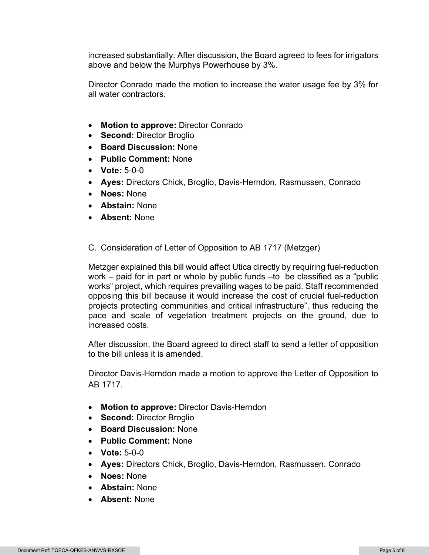increased substantially. After discussion, the Board agreed to fees for irrigators above and below the Murphys Powerhouse by 3%.

Director Conrado made the motion to increase the water usage fee by 3% for all water contractors.

- **Motion to approve:** Director Conrado
- **Second:** Director Broglio
- **Board Discussion:** None
- **Public Comment:** None
- **Vote:** 5-0-0
- **Ayes:** Directors Chick, Broglio, Davis-Herndon, Rasmussen, Conrado
- **Noes:** None
- **Abstain:** None
- **Absent:** None
- C. Consideration of Letter of Opposition to AB 1717 (Metzger)

Metzger explained this bill would affect Utica directly by requiring fuel-reduction work – paid for in part or whole by public funds –to be classified as a "public works" project, which requires prevailing wages to be paid. Staff recommended opposing this bill because it would increase the cost of crucial fuel-reduction projects protecting communities and critical infrastructure", thus reducing the pace and scale of vegetation treatment projects on the ground, due to increased costs.

After discussion, the Board agreed to direct staff to send a letter of opposition to the bill unless it is amended.

Director Davis-Herndon made a motion to approve the Letter of Opposition to AB 1717.

- **Motion to approve:** Director Davis-Herndon
- **Second:** Director Broglio
- **Board Discussion:** None
- **Public Comment:** None
- **Vote:** 5-0-0
- **Ayes:** Directors Chick, Broglio, Davis-Herndon, Rasmussen, Conrado
- **Noes:** None
- **Abstain:** None
- **Absent:** None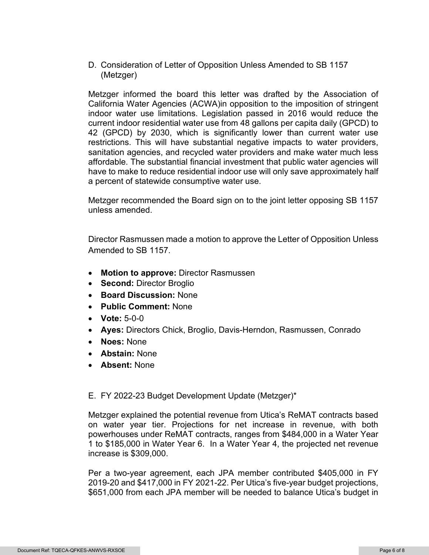D. Consideration of Letter of Opposition Unless Amended to SB 1157 (Metzger)

Metzger informed the board this letter was drafted by the Association of California Water Agencies (ACWA)in opposition to the imposition of stringent indoor water use limitations. Legislation passed in 2016 would reduce the current indoor residential water use from 48 gallons per capita daily (GPCD) to 42 (GPCD) by 2030, which is significantly lower than current water use restrictions. This will have substantial negative impacts to water providers, sanitation agencies, and recycled water providers and make water much less affordable. The substantial financial investment that public water agencies will have to make to reduce residential indoor use will only save approximately half a percent of statewide consumptive water use.

Metzger recommended the Board sign on to the joint letter opposing SB 1157 unless amended.

Director Rasmussen made a motion to approve the Letter of Opposition Unless Amended to SB 1157.

- **Motion to approve:** Director Rasmussen
- **Second:** Director Broglio
- **Board Discussion:** None
- **Public Comment:** None
- **Vote:** 5-0-0
- **Ayes:** Directors Chick, Broglio, Davis-Herndon, Rasmussen, Conrado
- **Noes:** None
- **Abstain:** None
- **Absent:** None

#### E. FY 2022-23 Budget Development Update (Metzger)\*

Metzger explained the potential revenue from Utica's ReMAT contracts based on water year tier. Projections for net increase in revenue, with both powerhouses under ReMAT contracts, ranges from \$484,000 in a Water Year 1 to \$185,000 in Water Year 6. In a Water Year 4, the projected net revenue increase is \$309,000.

Per a two-year agreement, each JPA member contributed \$405,000 in FY 2019-20 and \$417,000 in FY 2021-22. Per Utica's five-year budget projections, \$651,000 from each JPA member will be needed to balance Utica's budget in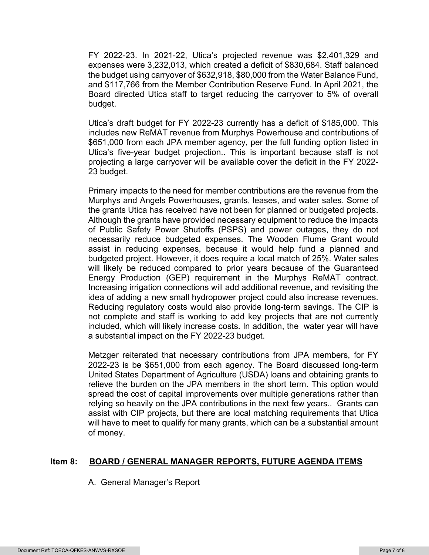FY 2022-23. In 2021-22, Utica's projected revenue was \$2,401,329 and expenses were 3,232,013, which created a deficit of \$830,684. Staff balanced the budget using carryover of \$632,918, \$80,000 from the Water Balance Fund, and \$117,766 from the Member Contribution Reserve Fund. In April 2021, the Board directed Utica staff to target reducing the carryover to 5% of overall budget.

Utica's draft budget for FY 2022-23 currently has a deficit of \$185,000. This includes new ReMAT revenue from Murphys Powerhouse and contributions of \$651,000 from each JPA member agency, per the full funding option listed in Utica's five-year budget projection.. This is important because staff is not projecting a large carryover will be available cover the deficit in the FY 2022- 23 budget.

Primary impacts to the need for member contributions are the revenue from the Murphys and Angels Powerhouses, grants, leases, and water sales. Some of the grants Utica has received have not been for planned or budgeted projects. Although the grants have provided necessary equipment to reduce the impacts of Public Safety Power Shutoffs (PSPS) and power outages, they do not necessarily reduce budgeted expenses. The Wooden Flume Grant would assist in reducing expenses, because it would help fund a planned and budgeted project. However, it does require a local match of 25%. Water sales will likely be reduced compared to prior years because of the Guaranteed Energy Production (GEP) requirement in the Murphys ReMAT contract. Increasing irrigation connections will add additional revenue, and revisiting the idea of adding a new small hydropower project could also increase revenues. Reducing regulatory costs would also provide long-term savings. The CIP is not complete and staff is working to add key projects that are not currently included, which will likely increase costs. In addition, the water year will have a substantial impact on the FY 2022-23 budget.

Metzger reiterated that necessary contributions from JPA members, for FY 2022-23 is be \$651,000 from each agency. The Board discussed long-term United States Department of Agriculture (USDA) loans and obtaining grants to relieve the burden on the JPA members in the short term. This option would spread the cost of capital improvements over multiple generations rather than relying so heavily on the JPA contributions in the next few years.. Grants can assist with CIP projects, but there are local matching requirements that Utica will have to meet to qualify for many grants, which can be a substantial amount of money.

#### **Item 8: BOARD / GENERAL MANAGER REPORTS, FUTURE AGENDA ITEMS**

A. General Manager's Report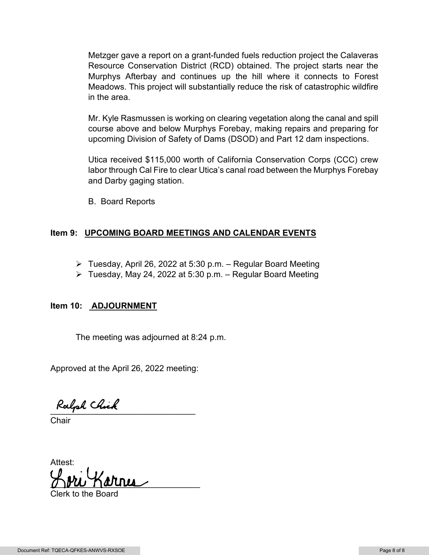Metzger gave a report on a grant-funded fuels reduction project the Calaveras Resource Conservation District (RCD) obtained. The project starts near the Murphys Afterbay and continues up the hill where it connects to Forest Meadows. This project will substantially reduce the risk of catastrophic wildfire in the area.

Mr. Kyle Rasmussen is working on clearing vegetation along the canal and spill course above and below Murphys Forebay, making repairs and preparing for upcoming Division of Safety of Dams (DSOD) and Part 12 dam inspections.

Utica received \$115,000 worth of California Conservation Corps (CCC) crew labor through Cal Fire to clear Utica's canal road between the Murphys Forebay and Darby gaging station.

B. Board Reports

#### **Item 9: UPCOMING BOARD MEETINGS AND CALENDAR EVENTS**

- $\triangleright$  Tuesday, April 26, 2022 at 5:30 p.m. Regular Board Meeting
- $\triangleright$  Tuesday, May 24, 2022 at 5:30 p.m. Regular Board Meeting

#### **Item 10: ADJOURNMENT**

The meeting was adjourned at 8:24 p.m.

Approved at the April 26, 2022 meeting:

Ralph Chick

**Chair** 

Attest:  $\mathcal{O}$  requested by  $\mathcal{O}$ 

Clerk to the Board